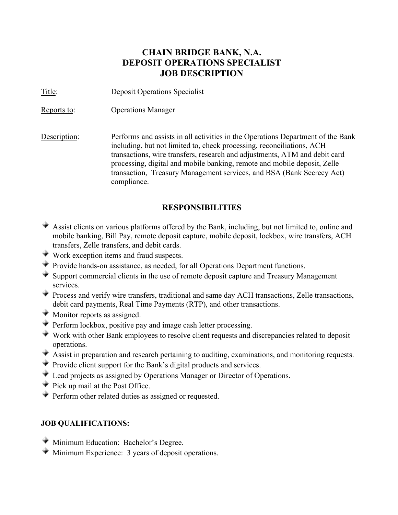# **CHAIN BRIDGE BANK, N.A. DEPOSIT OPERATIONS SPECIALIST JOB DESCRIPTION**

Title: Deposit Operations Specialist

Reports to: Operations Manager

Description: Performs and assists in all activities in the Operations Department of the Bank including, but not limited to, check processing, reconciliations, ACH transactions, wire transfers, research and adjustments, ATM and debit card processing, digital and mobile banking, remote and mobile deposit, Zelle transaction, Treasury Management services, and BSA (Bank Secrecy Act) compliance.

## **RESPONSIBILITIES**

- Assist clients on various platforms offered by the Bank, including, but not limited to, online and mobile banking, Bill Pay, remote deposit capture, mobile deposit, lockbox, wire transfers, ACH transfers, Zelle transfers, and debit cards.
- Work exception items and fraud suspects.
- **Provide hands-on assistance, as needed, for all Operations Department functions.**
- $\blacktriangleright$  Support commercial clients in the use of remote deposit capture and Treasury Management services.
- Process and verify wire transfers, traditional and same day ACH transactions, Zelle transactions, debit card payments, Real Time Payments (RTP), and other transactions.
- **Monitor reports as assigned.**
- $\blacktriangleright$  Perform lockbox, positive pay and image cash letter processing.
- Work with other Bank employees to resolve client requests and discrepancies related to deposit operations.
- Assist in preparation and research pertaining to auditing, examinations, and monitoring requests.
- **Provide client support for the Bank's digital products and services.**
- Lead projects as assigned by Operations Manager or Director of Operations.
- Pick up mail at the Post Office.
- **Perform other related duties as assigned or requested.**

#### **JOB QUALIFICATIONS:**

- **Minimum Education: Bachelor's Degree.**
- **Minimum Experience:** 3 years of deposit operations.